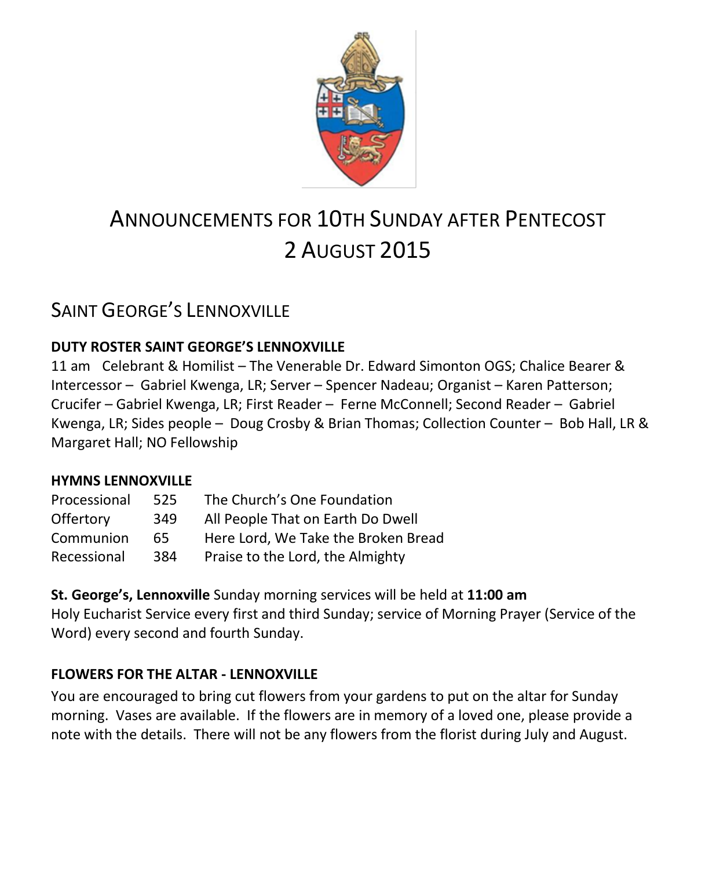

# ANNOUNCEMENTS FOR 10TH SUNDAY AFTER PENTECOST 2 AUGUST 2015

## SAINT GEORGE'S LENNOXVILLE

### **DUTY ROSTER SAINT GEORGE'S LENNOXVILLE**

11 am Celebrant & Homilist – The Venerable Dr. Edward Simonton OGS; Chalice Bearer & Intercessor – Gabriel Kwenga, LR; Server – Spencer Nadeau; Organist – Karen Patterson; Crucifer – Gabriel Kwenga, LR; First Reader – Ferne McConnell; Second Reader – Gabriel Kwenga, LR; Sides people – Doug Crosby & Brian Thomas; Collection Counter – Bob Hall, LR & Margaret Hall; NO Fellowship

#### **HYMNS LENNOXVILLE**

| Processional | 525 | The Church's One Foundation         |
|--------------|-----|-------------------------------------|
| Offertory    | 349 | All People That on Earth Do Dwell   |
| Communion    | 65. | Here Lord, We Take the Broken Bread |
| Recessional  | 384 | Praise to the Lord, the Almighty    |

**St. George's, Lennoxville** Sunday morning services will be held at **11:00 am** Holy Eucharist Service every first and third Sunday; service of Morning Prayer (Service of the Word) every second and fourth Sunday.

### **FLOWERS FOR THE ALTAR - LENNOXVILLE**

You are encouraged to bring cut flowers from your gardens to put on the altar for Sunday morning. Vases are available. If the flowers are in memory of a loved one, please provide a note with the details. There will not be any flowers from the florist during July and August.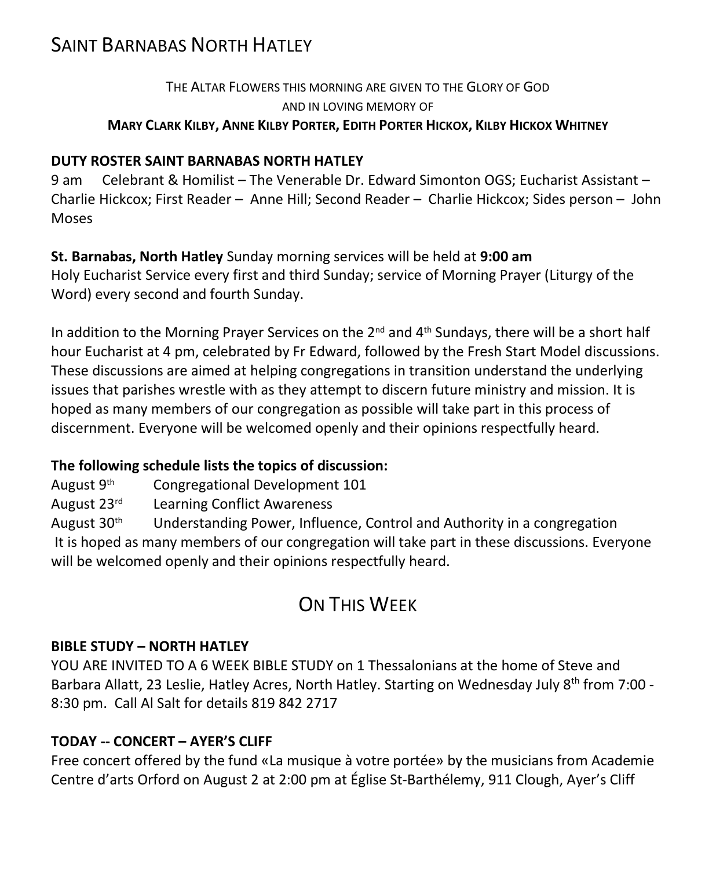## SAINT BARNABAS NORTH HATLEY

### THE ALTAR FLOWERS THIS MORNING ARE GIVEN TO THE GLORY OF GOD AND IN LOVING MEMORY OF MARY CLARK KILBY, ANNE KILBY PORTER, EDITH PORTER HICKOX, KILBY HICKOX WHITNEY

### **DUTY ROSTER SAINT BARNABAS NORTH HATLEY**

9 am Celebrant & Homilist – The Venerable Dr. Edward Simonton OGS; Eucharist Assistant – Charlie Hickcox; First Reader – Anne Hill; Second Reader – Charlie Hickcox; Sides person – John Moses

#### **St. Barnabas, North Hatley** Sunday morning services will be held at **9:00 am**

Holy Eucharist Service every first and third Sunday; service of Morning Prayer (Liturgy of the Word) every second and fourth Sunday.

In addition to the Morning Prayer Services on the  $2^{nd}$  and  $4^{th}$  Sundays, there will be a short half hour Eucharist at 4 pm, celebrated by Fr Edward, followed by the Fresh Start Model discussions. These discussions are aimed at helping congregations in transition understand the underlying issues that parishes wrestle with as they attempt to discern future ministry and mission. It is hoped as many members of our congregation as possible will take part in this process of discernment. Everyone will be welcomed openly and their opinions respectfully heard.

### **The following schedule lists the topics of discussion:**

August 9th Congregational Development 101

August 23rd Learning Conflict Awareness

August  $30<sup>th</sup>$  Understanding Power, Influence, Control and Authority in a congregation It is hoped as many members of our congregation will take part in these discussions. Everyone will be welcomed openly and their opinions respectfully heard.

# ON THIS WEEK

### **BIBLE STUDY – NORTH HATLEY**

YOU ARE INVITED TO A 6 WEEK BIBLE STUDY on 1 Thessalonians at the home of Steve and Barbara Allatt, 23 Leslie, Hatley Acres, North Hatley. Starting on Wednesday July 8<sup>th</sup> from 7:00 -8:30 pm. Call Al Salt for details 819 842 2717

### **TODAY -- CONCERT – AYER'S CLIFF**

Free concert offered by the fund «La musique à votre portée» by the musicians from Academie Centre d'arts Orford on August 2 at 2:00 pm at Église St-Barthélemy, 911 Clough, Ayer's Cliff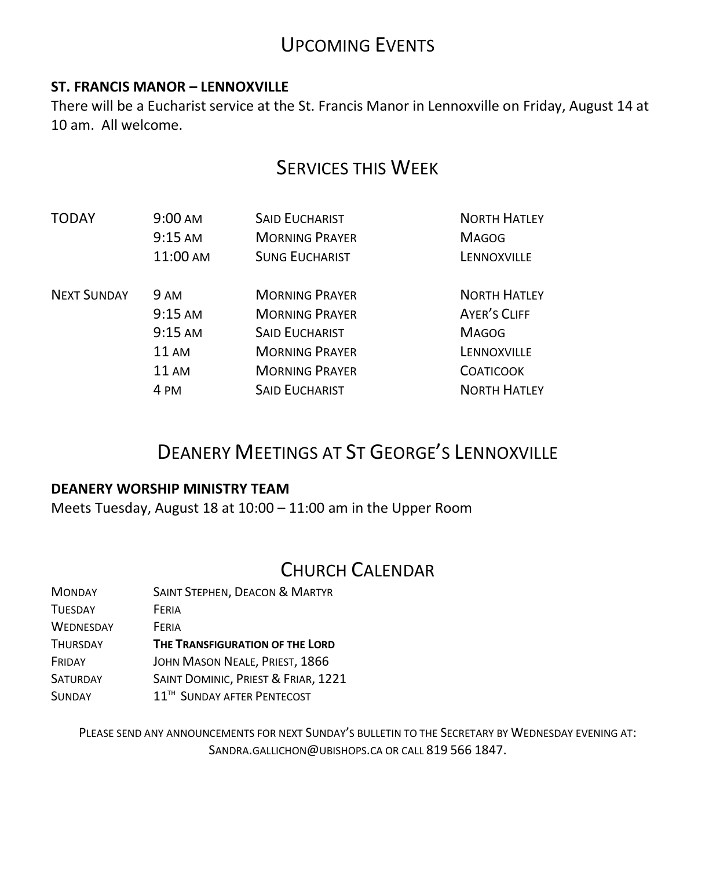# UPCOMING EVENTS

### **ST. FRANCIS MANOR – LENNOXVILLE**

There will be a Eucharist service at the St. Francis Manor in Lennoxville on Friday, August 14 at 10 am. All welcome.

### SERVICES THIS WEEK

| TODAY              | $9:00 \text{ AM}$<br>$9:15 \text{ AM}$<br>11:00 AM | <b>SAID EUCHARIST</b><br><b>MORNING PRAYER</b><br><b>SUNG EUCHARIST</b> | <b>NORTH HATLEY</b><br><b>MAGOG</b><br>LENNOXVILLE |
|--------------------|----------------------------------------------------|-------------------------------------------------------------------------|----------------------------------------------------|
| <b>NEXT SUNDAY</b> | 9 AM                                               | <b>MORNING PRAYER</b>                                                   | <b>NORTH HATLEY</b>                                |
|                    | $9:15 \text{ AM}$                                  | <b>MORNING PRAYER</b>                                                   | <b>AYER'S CLIFF</b>                                |
|                    | $9:15 \text{ AM}$                                  | <b>SAID EUCHARIST</b>                                                   | <b>MAGOG</b>                                       |
|                    | <b>11 AM</b>                                       | <b>MORNING PRAYER</b>                                                   | LENNOXVILLE                                        |
|                    | <b>11 AM</b>                                       | <b>MORNING PRAYER</b>                                                   | <b>COATICOOK</b>                                   |
|                    | 4 PM                                               | <b>SAID EUCHARIST</b>                                                   | <b>NORTH HATLEY</b>                                |

# DEANERY MEETINGS AT ST GEORGE'S LENNOXVILLE

#### **DEANERY WORSHIP MINISTRY TEAM**

Meets Tuesday, August 18 at 10:00 – 11:00 am in the Upper Room

### CHURCH CALENDAR

| <b>MONDAY</b>    | <b>SAINT STEPHEN, DEACON &amp; MARTYR</b> |  |
|------------------|-------------------------------------------|--|
| <b>TUESDAY</b>   | FERIA                                     |  |
| <b>WEDNESDAY</b> | FFRIA                                     |  |
| <b>THURSDAY</b>  | THE TRANSFIGURATION OF THE LORD           |  |
| FRIDAY           | JOHN MASON NEALE, PRIEST, 1866            |  |
| <b>SATURDAY</b>  | SAINT DOMINIC, PRIEST & FRIAR, 1221       |  |
| <b>SUNDAY</b>    | 11 <sup>TH</sup> SUNDAY AFTER PENTECOST   |  |

PLEASE SEND ANY ANNOUNCEMENTS FOR NEXT SUNDAY'S BULLETIN TO THE SECRETARY BY WEDNESDAY EVENING AT: SANDRA.GALLICHON@UBISHOPS.CA OR CALL 819 566 1847.